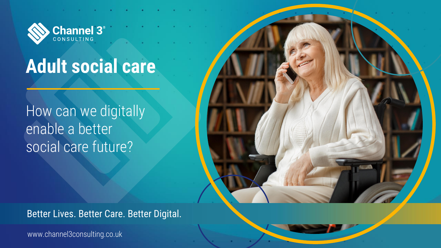www.channel3consulting.co.uk



Better Lives. Better Care. Better Digital.



# **Adult social care**

How can we digitally enable a better social care future?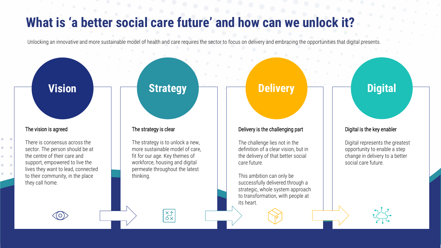## **What is 'a better social care future' and how can we unlock it?**

Unlocking an innovative and more sustainable model of health and care requires the sector to focus on delivery and embracing the opportunities that digital presents.

#### The vision is agreed

 $\bullet$ 

There is consensus across the sector. The person should be at the centre of their care and support, empowered to live the lives they want to lead, connected to their community, in the place they call home.

 $\bigcirc$ 

#### The strategy is clear

The strategy is to unlock a new, more sustainable model of care, fit for our age. Key themes of workforce, housing and digital permeate throughout the latest thinking.

XA<br>OX

#### Delivery is the challenging part

The challenge lies not in the definition of a clear vision, but in the delivery of that better social care future.

This ambition can only be successfully delivered through a strategic, whole system approach to transformation, with people at

its heart.

## **Vision Digital Strategy Delivery Delivery Digital**

#### Digital is the key enabler

Digital represents the greatest opportunity to enable a step change in delivery to a better social care future.



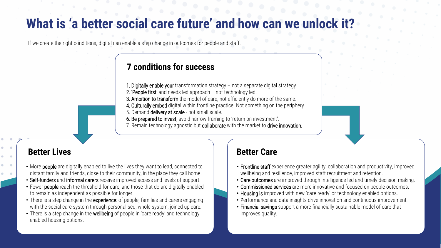- More people are digitally enabled to live the lives they want to lead, connected to distant family and friends, close to their community, in the place they call home.
- Self-funders and informal carers receive improved access and levels of support.
- Fewer people reach the threshold for care, and those that do are digitally enabled to remain as independent as possible for longer.
- There is a step change in the experience: of people, families and carers engaging with the social care system through personalised, whole system, joined up care.
- There is a step change in the wellbeing of people in 'care ready' and technology enabled housing options.

- 
- 
- 
- 
- 
- 

• Frontline staff experience greater agility, collaboration and productivity, improved wellbeing and resilience, improved staff recruitment and retention. • Care outcomes are improved through intelligence led and timely decision making. • Commissioned services are more innovative and focused on people outcomes. • Housing is improved with new 'care ready' or technology enabled options. • Performance and data insights drive innovation and continuous improvement. • Financial savings support a more financially sustainable model of care that improves quality.

- 1. Digitally enable your transformation strategy not a separate digital strategy.
- 2. 'People first' and needs led approach not technology led.
- 3. Ambition to transform the model of care, not efficiently do more of the same.
- 4. Culturally embed digital within frontline practice. Not something on the periphery.
- 5. Demand delivery at scale not small scale.

6. Be prepared to invest, avoid narrow framing to 'return on investment'. 7. Remain technology agnostic but collaborate with the market to drive innovation.

#### **Better Lives Better Care**

## **What is 'a better social care future' and how can we unlock it?**

If we create the right conditions, digital can enable a step change in outcomes for people and staff.

### **7 conditions for success**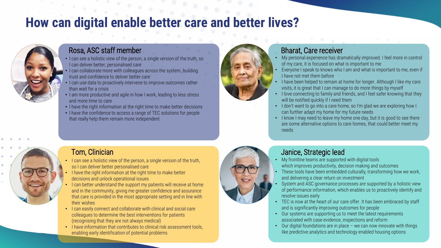## **How can digital enable better care and better lives?**



#### Rosa, ASC staff member

### Tom, Clinician

#### Bharat, Care receiver

#### Janice, Strategic lead

- I can see a holistic view of the person, a single version of the truth, so I can deliver better, personalised care
- I can collaborate more with colleagues across the system, building trust and confidence to deliver better care
- I can use data to proactively intervene to improve outcomes rather than wait for a crisis
- I am more productive and agile in how I work, leading to less stress and more time to care
- I have the right information at the right time to make better decisions
- I have the confidence to access a range of TEC solutions for people that really help them remain more independent





- My personal experience has dramatically improved. I feel more in control of my care, it is focused on what is important to me
- Everyone I speak to knows who I am and what is important to me, even if I have not met them before
- I have been helped to remain at home for longer. Although I like my care visits, it is great that I can manage to do more things by myself
- I love connecting to family and friends, and I feel safer knowing that they will be notified quickly if I need them
- I don't want to go into a care home, so I'm glad we are exploring how I can further adapt my home for my future needs
- I know I may need to leave my home one day, but it is good to see there are some alternative options to care homes, that could better meet my needs

- I can see a holistic view of the person, a single version of the truth, so I can deliver better personalised care
- I have the right information at the right time to make better decisions and unlock operational issues
- I can better understand the support my patients will receive at home and in the community, giving me greater confidence and assurance that care is provided in the most appropriate setting and in line with their wishes
- I can easily connect and collaborate with clinical and social care colleagues to determine the best interventions for patients (recognising that they are not always medical)
- I have information that contributes to clinical risk assessment tools, enabling early identification of potential problems



- My frontline teams are supported with digital tools which improves productivity, decision making and outcomes
- These tools have been embedded culturally, transforming how we work, and delivering a clear return on investment
- System and ASC governance processes are supported by a holistic view of performance information, which enables us to proactively identify and resolve issues early
- TEC is now at the heart of our care offer. It has been embraced by staff and is significantly improving outcomes for people
- Our systems are supporting us to meet the latest requirements associated with case evidence, inspections and reform
- Our digital foundations are in place we can now innovate with things like predictive analytics and technology enabled housing options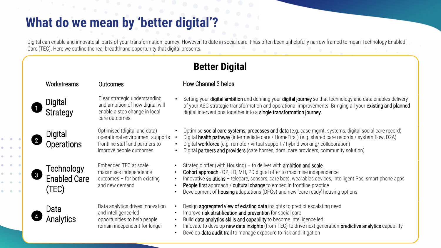## **What do we mean by 'better digital'?**

• Optimise social care systems, processes and data (e.g. case mgmt. systems, digital social care record) • Digital health pathway (intermediate care / HomeFirst) (e.g. shared care records / system flow, D2A) Digital workforce (e.g. remote / virtual support / hybrid working/ collaboration) Digital partners and providers (care homes, dom. care providers, community solution)

Digital can enable and innovate all parts of your transformation journey. However, to date in social care it has often been unhelpfully narrow framed to mean Technology Enabled Care (TEC). Here we outline the real breadth and opportunity that digital presents.

> Design aggregated view of existing data insights to predict escalating need Build data analytics skills and capability to become intelligence led Innovate to develop new data insights (from TEC) to drive next generation predictive analytics capability • Develop data audit trail to manage exposure to risk and litigation

> • Cohort approach - OP, LD, MH, PD digital offer to maximise independence Innovative solutions - telecare, sensors, care bots, wearables devices, intelligent Pas, smart phone apps People first approach / cultural change to embed in frontline practice • Development of housing adaptations (DFGs) and new 'care ready' housing options



Setting your digital ambition and defining your digital journey so that technology and data enables delivery of your ASC strategic transformation and operational improvements. Bringing all your existing and planned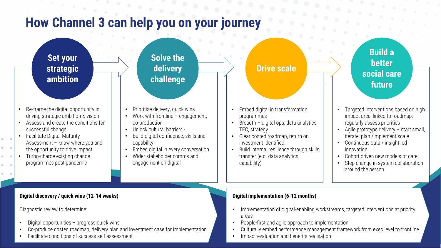**Build a better social care future**

- Re-frame the digital opportunity in driving strategic ambition & vision
- Assess and create the conditions for successful change
- Facilitate Digital Maturity Assessment – know where you and the opportunity to drive impact
- Turbo-charge existing change programmes post pandemic
- Prioritise delivery, quick wins
- Work with frontline  $-$  engagement, co-production
- Unlock cultural barriers -
- Build digital confidence, skills and capability
- Embed digital in every conversation
- Wider stakeholder comms and engagement on digital

### **Solve the Solve the delivery delivery challenge challenge**

### **Drive scale Drive scale**

- Embed digital in transformation programmes
- Breadth digital ops, data analytics, TEC, strategy
- Clear costed roadmap, return on
- investment identified
- Build internal resilience through skills
- transfer (e.g. data analytics
- 
- 
- 
- capability)
- Targeted interventions based on high impact area, linked to roadmap; regularly assess priorities
- Agile prototype delivery start small, iterate, plan /implement scale
- Continuous data / insight led innovation
- Cohort driven new models of care
- Step change in system collaboration around the person

# **How Channel 3 can help you on your journey**

### **Set your strategic ambition**

#### **Digital discovery / quick wins (12-14 weeks)**

Diagnostic review to determine:

- Digital opportunities + progress quick wins
- Co-produce costed roadmap, delivery plan and investment case for implementation
- Facilitate conditions of success self assessment

#### **Digital implementation (6-12 months)**

- Implementation of digital-enabling workstreams, targeted interventions at priority areas
- People-first and agile approach to implementation
- 
- Culturally embed performance management framework from exec level to frontline • Impact evaluation and benefits realisation